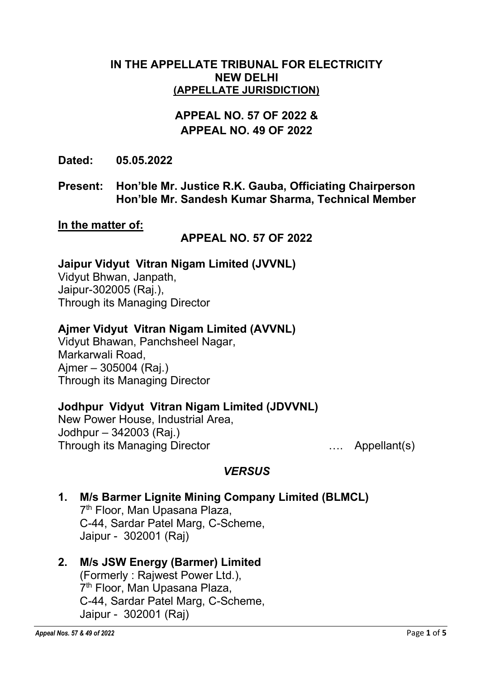#### IN THE APPELLATE TRIBUNAL FOR ELECTRICITY NEW DELHI (APPELLATE JURISDICTION)

# APPEAL NO. 57 OF 2022 & APPEAL NO. 49 OF 2022

Dated: 05.05.2022

Present: Hon'ble Mr. Justice R.K. Gauba, Officiating Chairperson Hon'ble Mr. Sandesh Kumar Sharma, Technical Member

### In the matter of:

APPEAL NO. 57 OF 2022

## Jaipur Vidyut Vitran Nigam Limited (JVVNL)

Vidyut Bhwan, Janpath, Jaipur-302005 (Raj.), Through its Managing Director

## Ajmer Vidyut Vitran Nigam Limited (AVVNL)

Vidyut Bhawan, Panchsheel Nagar, Markarwali Road, Ajmer – 305004 (Raj.) Through its Managing Director

## Jodhpur Vidyut Vitran Nigam Limited (JDVVNL)

New Power House, Industrial Area, Jodhpur – 342003 (Raj.) Through its Managing Director …. Appellant(s)

# **VERSUS**

1. M/s Barmer Lignite Mining Company Limited (BLMCL) 7<sup>th</sup> Floor, Man Upasana Plaza, C-44, Sardar Patel Marg, C-Scheme, Jaipur - 302001 (Raj)

#### 2. M/s JSW Energy (Barmer) Limited (Formerly : Rajwest Power Ltd.), 7<sup>th</sup> Floor, Man Upasana Plaza, C-44, Sardar Patel Marg, C-Scheme, Jaipur - 302001 (Raj)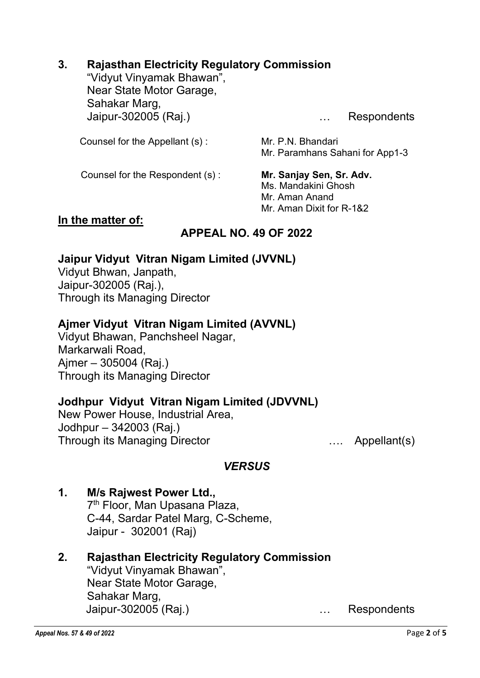## 3. Rajasthan Electricity Regulatory Commission

"Vidyut Vinyamak Bhawan", Near State Motor Garage, Sahakar Marg, Jaipur-302005 (Raj.) … Respondents

Counsel for the Appellant (s) : Mr. P.N. Bhandari

Mr. Paramhans Sahani for App1-3

Counsel for the Respondent (s) : Mr. Sanjay Sen, Sr. Adv.

 Ms. Mandakini Ghosh Mr. Aman Anand Mr. Aman Dixit for R-1&2

### In the matter of:

## APPEAL NO. 49 OF 2022

## Jaipur Vidyut Vitran Nigam Limited (JVVNL)

Vidyut Bhwan, Janpath, Jaipur-302005 (Raj.), Through its Managing Director

## Ajmer Vidyut Vitran Nigam Limited (AVVNL)

Vidyut Bhawan, Panchsheel Nagar, Markarwali Road, Ajmer – 305004 (Raj.) Through its Managing Director

## Jodhpur Vidyut Vitran Nigam Limited (JDVVNL)

New Power House, Industrial Area, Jodhpur – 342003 (Raj.) Through its Managing Director …. Appellant(s)

# **VERSUS**

#### 1. M/s Rajwest Power Ltd., 7<sup>th</sup> Floor, Man Upasana Plaza,

C-44, Sardar Patel Marg, C-Scheme, Jaipur - 302001 (Raj)

2. Rajasthan Electricity Regulatory Commission "Vidyut Vinyamak Bhawan", Near State Motor Garage, Sahakar Marg, Jaipur-302005 (Raj.) … Respondents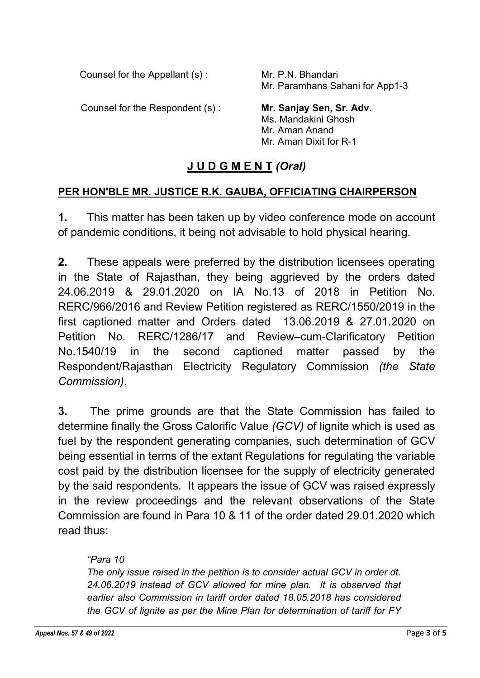Counsel for the Appellant (s) : Mr. P.N. Bhandari

Mr. Paramhans Sahani for App1-3

Counsel for the Respondent (s) : Mr. Sanjay Sen, Sr. Adv.

 Ms. Mandakini Ghosh Mr. Aman Anand Mr. Aman Dixit for R-1

# J U D G M E N T (Oral)

## PER HON'BLE MR. JUSTICE R.K. GAUBA, OFFICIATING CHAIRPERSON

1. This matter has been taken up by video conference mode on account of pandemic conditions, it being not advisable to hold physical hearing.

2. These appeals were preferred by the distribution licensees operating in the State of Rajasthan, they being aggrieved by the orders dated 24.06.2019 & 29.01.2020 on IA No.13 of 2018 in Petition No. RERC/966/2016 and Review Petition registered as RERC/1550/2019 in the first captioned matter and Orders dated 13.06.2019 & 27.01.2020 on Petition No. RERC/1286/17 and Review–cum-Clarificatory Petition No.1540/19 in the second captioned matter passed by the Respondent/Rajasthan Electricity Regulatory Commission (the State Commission).

3. The prime grounds are that the State Commission has failed to determine finally the Gross Calorific Value (GCV) of lignite which is used as fuel by the respondent generating companies, such determination of GCV being essential in terms of the extant Regulations for regulating the variable cost paid by the distribution licensee for the supply of electricity generated by the said respondents. It appears the issue of GCV was raised expressly in the review proceedings and the relevant observations of the State Commission are found in Para 10 & 11 of the order dated 29.01.2020 which read thus:

#### "Para 10

The only issue raised in the petition is to consider actual GCV in order dt. 24.06.2019 instead of GCV allowed for mine plan. It is observed that earlier also Commission in tariff order dated 18.05.2018 has considered the GCV of lignite as per the Mine Plan for determination of tariff for FY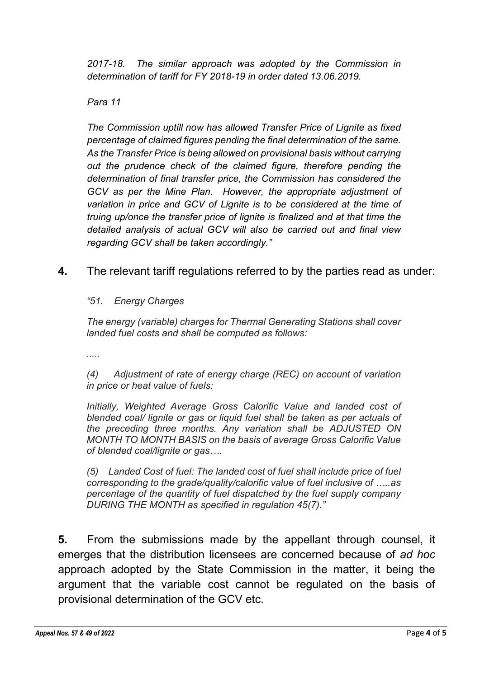2017-18. The similar approach was adopted by the Commission in determination of tariff for FY 2018-19 in order dated 13.06.2019.

#### Para 11

The Commission uptill now has allowed Transfer Price of Lignite as fixed percentage of claimed figures pending the final determination of the same. As the Transfer Price is being allowed on provisional basis without carrying out the prudence check of the claimed figure, therefore pending the determination of final transfer price, the Commission has considered the GCV as per the Mine Plan. However, the appropriate adjustment of variation in price and GCV of Lignite is to be considered at the time of truing up/once the transfer price of lignite is finalized and at that time the detailed analysis of actual GCV will also be carried out and final view regarding GCV shall be taken accordingly."

# 4. The relevant tariff regulations referred to by the parties read as under:

### "51. Energy Charges

The energy (variable) charges for Thermal Generating Stations shall cover landed fuel costs and shall be computed as follows:

.....

(4) Adjustment of rate of energy charge (REC) on account of variation in price or heat value of fuels:

Initially, Weighted Average Gross Calorific Value and landed cost of blended coal/ lignite or gas or liquid fuel shall be taken as per actuals of the preceding three months. Any variation shall be ADJUSTED ON MONTH TO MONTH BASIS on the basis of average Gross Calorific Value of blended coal/lignite or gas….

(5) Landed Cost of fuel: The landed cost of fuel shall include price of fuel corresponding to the grade/quality/calorific value of fuel inclusive of …..as percentage of the quantity of fuel dispatched by the fuel supply company DURING THE MONTH as specified in regulation 45(7)."

5. From the submissions made by the appellant through counsel, it emerges that the distribution licensees are concerned because of ad hoc approach adopted by the State Commission in the matter, it being the argument that the variable cost cannot be regulated on the basis of provisional determination of the GCV etc.